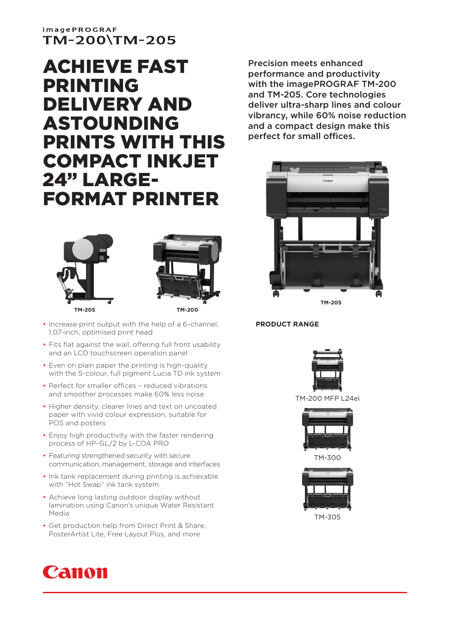## **imagePROGRAF** TM-200\TM-205

# ACHIEVE FAST PRINTING DELIVERY AND ASTOUNDING PRINTS WITH THIS COMPACT INKJET 24" LARGE-FORMAT PRINTER





**TM-205 TM-200**

- Increase print output with the help of a 6-channel, 1.07-inch, optimised print head
- Fits flat against the wall, offering full front usability and an LCD touchscreen operation panel
- Even on plain paper the printing is high-quality with the 5-colour, full pigment Lucia TD ink system
- Perfect for smaller offices reduced vibrations and smoother processes make 60% less noise
- Higher density, clearer lines and text on uncoated paper with vivid colour expression, suitable for POS and posters
- Enjoy high productivity with the faster rendering process of HP-GL/2 by L-COA PRO
- Featuring strengthened security with secure communication, management, storage and interfaces
- Ink tank replacement during printing is achievable with "Hot Swap" ink tank system
- Achieve long lasting outdoor display without lamination using Canon's unique Water Resistant Media
- Get production help from Direct Print & Share, PosterArtist Lite, Free Layout Plus, and more



Precision meets enhanced performance and productivity with the imagePROGRAF TM-200 and TM-205. Core technologies deliver ultra-sharp lines and colour vibrancy, while 60% noise reduction and a compact design make this perfect for small offices.



#### **PRODUCT RANGE**



TM-200 MFP L24ei



TM-300



TM-305